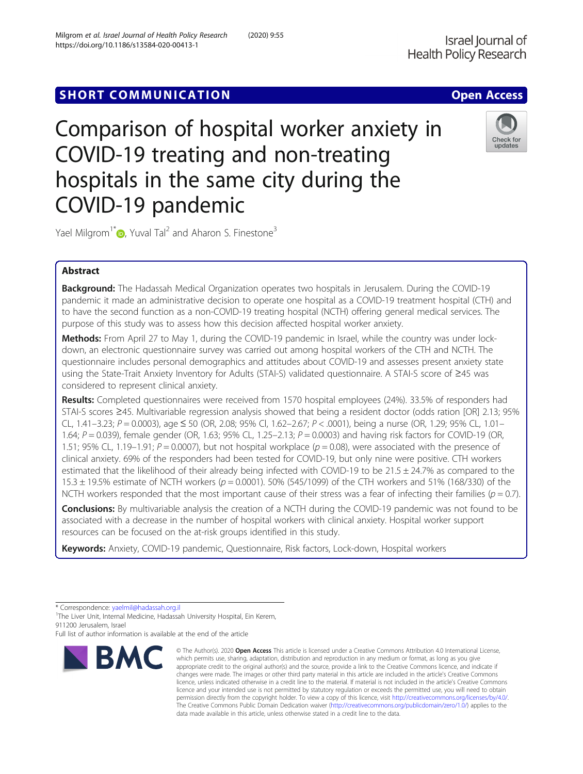Comparison of hospital worker anxiety in COVID-19 treating and non-treating hospitals in the same city during the COVID-19 pandemic



Yael Milgrom<sup>1\*</sup> $\bullet$ [,](http://orcid.org/0000-0002-1749-5383) Yuval Tal<sup>2</sup> and Aharon S. Finestone<sup>3</sup>

# Abstract

Background: The Hadassah Medical Organization operates two hospitals in Jerusalem. During the COVID-19 pandemic it made an administrative decision to operate one hospital as a COVID-19 treatment hospital (CTH) and to have the second function as a non-COVID-19 treating hospital (NCTH) offering general medical services. The purpose of this study was to assess how this decision affected hospital worker anxiety.

Methods: From April 27 to May 1, during the COVID-19 pandemic in Israel, while the country was under lockdown, an electronic questionnaire survey was carried out among hospital workers of the CTH and NCTH. The questionnaire includes personal demographics and attitudes about COVID-19 and assesses present anxiety state using the State-Trait Anxiety Inventory for Adults (STAI-S) validated questionnaire. A STAI-S score of ≥45 was considered to represent clinical anxiety.

Results: Completed questionnaires were received from 1570 hospital employees (24%). 33.5% of responders had STAI-S scores ≥45. Multivariable regression analysis showed that being a resident doctor (odds ration [OR] 2.13; 95% CL, 1.41–3.23; P = 0.0003), age ≤ 50 (OR, 2.08; 95% Cl, 1.62–2.67; P < .0001), being a nurse (OR, 1.29; 95% CL, 1.01– 1.64;  $P = 0.039$ ), female gender (OR, 1.63; 95% CL, 1.25–2.13;  $P = 0.0003$ ) and having risk factors for COVID-19 (OR, 1.51; 95% CL, 1.19–1.91;  $P = 0.0007$ ), but not hospital workplace ( $p = 0.08$ ), were associated with the presence of clinical anxiety. 69% of the responders had been tested for COVID-19, but only nine were positive. CTH workers estimated that the likelihood of their already being infected with COVID-19 to be  $21.5 \pm 24.7\%$  as compared to the 15.3 ± 19.5% estimate of NCTH workers (p = 0.0001). 50% (545/1099) of the CTH workers and 51% (168/330) of the NCTH workers responded that the most important cause of their stress was a fear of infecting their families ( $p = 0.7$ ).

**Conclusions:** By multivariable analysis the creation of a NCTH during the COVID-19 pandemic was not found to be associated with a decrease in the number of hospital workers with clinical anxiety. Hospital worker support resources can be focused on the at-risk groups identified in this study.

Keywords: Anxiety, COVID-19 pandemic, Questionnaire, Risk factors, Lock-down, Hospital workers

<sup>1</sup>The Liver Unit, Internal Medicine, Hadassah University Hospital, Ein Kerem, 911200 Jerusalem, Israel

Full list of author information is available at the end of the article



<sup>©</sup> The Author(s), 2020 **Open Access** This article is licensed under a Creative Commons Attribution 4.0 International License, which permits use, sharing, adaptation, distribution and reproduction in any medium or format, as long as you give appropriate credit to the original author(s) and the source, provide a link to the Creative Commons licence, and indicate if changes were made. The images or other third party material in this article are included in the article's Creative Commons licence, unless indicated otherwise in a credit line to the material. If material is not included in the article's Creative Commons licence and your intended use is not permitted by statutory regulation or exceeds the permitted use, you will need to obtain permission directly from the copyright holder. To view a copy of this licence, visit [http://creativecommons.org/licenses/by/4.0/.](http://creativecommons.org/licenses/by/4.0/) The Creative Commons Public Domain Dedication waiver [\(http://creativecommons.org/publicdomain/zero/1.0/](http://creativecommons.org/publicdomain/zero/1.0/)) applies to the data made available in this article, unless otherwise stated in a credit line to the data.

<sup>\*</sup> Correspondence: [yaelmil@hadassah.org.il](mailto:yaelmil@hadassah.org.il) <sup>1</sup>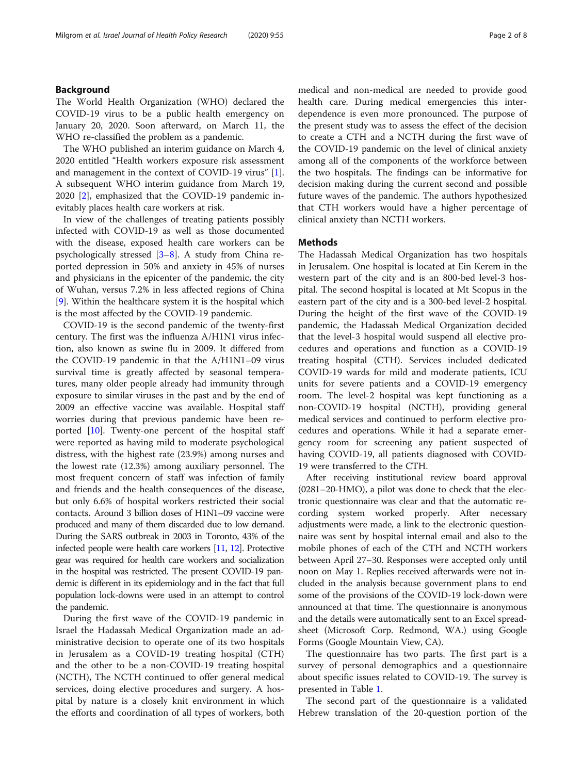# Background

The World Health Organization (WHO) declared the COVID-19 virus to be a public health emergency on January 20, 2020. Soon afterward, on March 11, the WHO re-classified the problem as a pandemic.

The WHO published an interim guidance on March 4, 2020 entitled "Health workers exposure risk assessment and management in the context of COVID-19 virus" [\[1](#page-7-0)]. A subsequent WHO interim guidance from March 19, 2020 [[2](#page-7-0)], emphasized that the COVID-19 pandemic inevitably places health care workers at risk.

In view of the challenges of treating patients possibly infected with COVID-19 as well as those documented with the disease, exposed health care workers can be psychologically stressed [\[3](#page-7-0)–[8](#page-7-0)]. A study from China reported depression in 50% and anxiety in 45% of nurses and physicians in the epicenter of the pandemic, the city of Wuhan, versus 7.2% in less affected regions of China [[9\]](#page-7-0). Within the healthcare system it is the hospital which is the most affected by the COVID-19 pandemic.

COVID-19 is the second pandemic of the twenty-first century. The first was the influenza A/H1N1 virus infection, also known as swine flu in 2009. It differed from the COVID-19 pandemic in that the A/H1N1–09 virus survival time is greatly affected by seasonal temperatures, many older people already had immunity through exposure to similar viruses in the past and by the end of 2009 an effective vaccine was available. Hospital staff worries during that previous pandemic have been reported [\[10\]](#page-7-0). Twenty-one percent of the hospital staff were reported as having mild to moderate psychological distress, with the highest rate (23.9%) among nurses and the lowest rate (12.3%) among auxiliary personnel. The most frequent concern of staff was infection of family and friends and the health consequences of the disease, but only 6.6% of hospital workers restricted their social contacts. Around 3 billion doses of H1N1–09 vaccine were produced and many of them discarded due to low demand. During the SARS outbreak in 2003 in Toronto, 43% of the infected people were health care workers [\[11](#page-7-0), [12](#page-7-0)]. Protective gear was required for health care workers and socialization in the hospital was restricted. The present COVID-19 pandemic is different in its epidemiology and in the fact that full population lock-downs were used in an attempt to control the pandemic.

During the first wave of the COVID-19 pandemic in Israel the Hadassah Medical Organization made an administrative decision to operate one of its two hospitals in Jerusalem as a COVID-19 treating hospital (CTH) and the other to be a non-COVID-19 treating hospital (NCTH), The NCTH continued to offer general medical services, doing elective procedures and surgery. A hospital by nature is a closely knit environment in which the efforts and coordination of all types of workers, both medical and non-medical are needed to provide good health care. During medical emergencies this interdependence is even more pronounced. The purpose of the present study was to assess the effect of the decision to create a CTH and a NCTH during the first wave of the COVID-19 pandemic on the level of clinical anxiety among all of the components of the workforce between the two hospitals. The findings can be informative for decision making during the current second and possible future waves of the pandemic. The authors hypothesized that CTH workers would have a higher percentage of clinical anxiety than NCTH workers.

# Methods

The Hadassah Medical Organization has two hospitals in Jerusalem. One hospital is located at Ein Kerem in the western part of the city and is an 800-bed level-3 hospital. The second hospital is located at Mt Scopus in the eastern part of the city and is a 300-bed level-2 hospital. During the height of the first wave of the COVID-19 pandemic, the Hadassah Medical Organization decided that the level-3 hospital would suspend all elective procedures and operations and function as a COVID-19 treating hospital (CTH). Services included dedicated COVID-19 wards for mild and moderate patients, ICU units for severe patients and a COVID-19 emergency room. The level-2 hospital was kept functioning as a non-COVID-19 hospital (NCTH), providing general medical services and continued to perform elective procedures and operations. While it had a separate emergency room for screening any patient suspected of having COVID-19, all patients diagnosed with COVID-19 were transferred to the CTH.

After receiving institutional review board approval (0281–20-HMO), a pilot was done to check that the electronic questionnaire was clear and that the automatic recording system worked properly. After necessary adjustments were made, a link to the electronic questionnaire was sent by hospital internal email and also to the mobile phones of each of the CTH and NCTH workers between April 27–30. Responses were accepted only until noon on May 1. Replies received afterwards were not included in the analysis because government plans to end some of the provisions of the COVID-19 lock-down were announced at that time. The questionnaire is anonymous and the details were automatically sent to an Excel spreadsheet (Microsoft Corp. Redmond, WA.) using Google Forms (Google Mountain View, CA).

The questionnaire has two parts. The first part is a survey of personal demographics and a questionnaire about specific issues related to COVID-19. The survey is presented in Table [1](#page-2-0).

The second part of the questionnaire is a validated Hebrew translation of the 20-question portion of the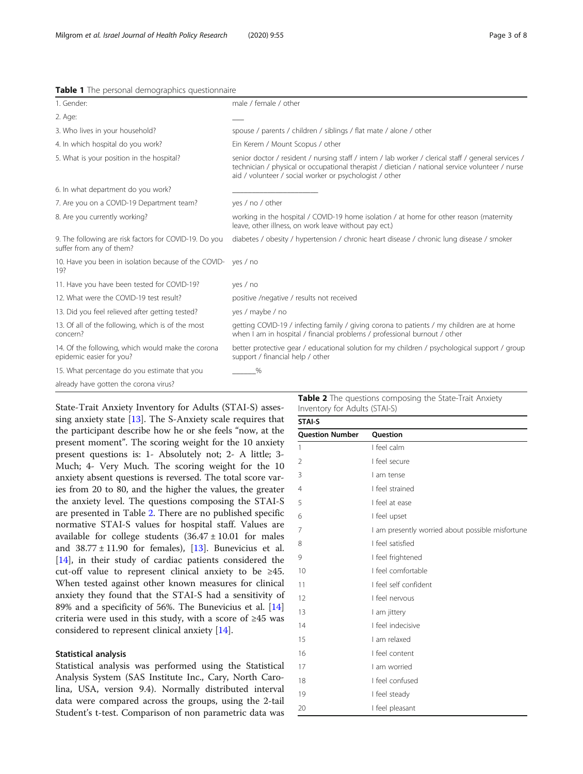<span id="page-2-0"></span>

|  |  |  |  |  |  | Table 1 The personal demographics questionnaire |
|--|--|--|--|--|--|-------------------------------------------------|
|--|--|--|--|--|--|-------------------------------------------------|

| 1. Gender:                                                                         | male / female / other                                                                                                                                                                                                                                               |
|------------------------------------------------------------------------------------|---------------------------------------------------------------------------------------------------------------------------------------------------------------------------------------------------------------------------------------------------------------------|
| 2. Age:                                                                            |                                                                                                                                                                                                                                                                     |
| 3. Who lives in your household?                                                    | spouse / parents / children / siblings / flat mate / alone / other                                                                                                                                                                                                  |
| 4. In which hospital do you work?                                                  | Ein Kerem / Mount Scopus / other                                                                                                                                                                                                                                    |
| 5. What is your position in the hospital?                                          | senior doctor / resident / nursing staff / intern / lab worker / clerical staff / general services /<br>technician / physical or occupational therapist / dietician / national service volunteer / nurse<br>aid / volunteer / social worker or psychologist / other |
| 6. In what department do you work?                                                 |                                                                                                                                                                                                                                                                     |
| 7. Are you on a COVID-19 Department team?                                          | yes / no / other                                                                                                                                                                                                                                                    |
| 8. Are you currently working?                                                      | working in the hospital / COVID-19 home isolation / at home for other reason (maternity<br>leave, other illness, on work leave without pay ect.)                                                                                                                    |
| 9. The following are risk factors for COVID-19. Do you<br>suffer from any of them? | diabetes / obesity / hypertension / chronic heart disease / chronic lung disease / smoker                                                                                                                                                                           |
| 10. Have you been in isolation because of the COVID-<br>19?                        | ves / no                                                                                                                                                                                                                                                            |
| 11. Have you have been tested for COVID-19?                                        | yes / no                                                                                                                                                                                                                                                            |
| 12. What were the COVID-19 test result?                                            | positive /negative / results not received                                                                                                                                                                                                                           |
| 13. Did you feel relieved after getting tested?                                    | yes / maybe / no                                                                                                                                                                                                                                                    |
| 13. Of all of the following, which is of the most<br>concern?                      | getting COVID-19 / infecting family / giving corona to patients / my children are at home<br>when I am in hospital / financial problems / professional burnout / other                                                                                              |
| 14. Of the following, which would make the corona<br>epidemic easier for you?      | better protective gear / educational solution for my children / psychological support / group<br>support / financial help / other                                                                                                                                   |
| 15. What percentage do you estimate that you                                       | %                                                                                                                                                                                                                                                                   |
| already have gotten the corona virus?                                              |                                                                                                                                                                                                                                                                     |

State-Trait Anxiety Inventory for Adults (STAI-S) assessing anxiety state [\[13\]](#page-7-0). The S-Anxiety scale requires that the participant describe how he or she feels "now, at the present moment". The scoring weight for the 10 anxiety present questions is: 1- Absolutely not; 2- A little; 3- Much; 4- Very Much. The scoring weight for the 10 anxiety absent questions is reversed. The total score varies from 20 to 80, and the higher the values, the greater the anxiety level. The questions composing the STAI-S are presented in Table 2. There are no published specific normative STAI-S values for hospital staff. Values are available for college students  $(36.47 \pm 10.01)$  for males and  $38.77 \pm 11.90$  for females), [[13\]](#page-7-0). Bunevicius et al. [[14\]](#page-7-0), in their study of cardiac patients considered the cut-off value to represent clinical anxiety to be ≥45. When tested against other known measures for clinical anxiety they found that the STAI-S had a sensitivity of 89% and a specificity of 56%. The Bunevicius et al. [[14](#page-7-0)] criteria were used in this study, with a score of ≥45 was considered to represent clinical anxiety [\[14\]](#page-7-0).

# Statistical analysis

Statistical analysis was performed using the Statistical Analysis System (SAS Institute Inc., Cary, North Carolina, USA, version 9.4). Normally distributed interval data were compared across the groups, using the 2-tail Student's t-test. Comparison of non parametric data was Inventory for Adults (STAI-S) STAI-S Question Number Question 1 I feel calm 2 I feel secure 3 I am tense 4 I feel strained 5 I feel at ease 6 I feel upset 7 I am presently worried about possible misfortune 8 I feel satisfied 9 I feel frightened 10 I feel comfortable 11 I feel self confident 12 I feel nervous 13 I am jittery 14 I feel indecisive 15 I am relaxed 16 I feel content 17 I am worried 18 I feel confused 19 I feel steady

20 I feel pleasant

Table 2 The questions composing the State-Trait Anxiety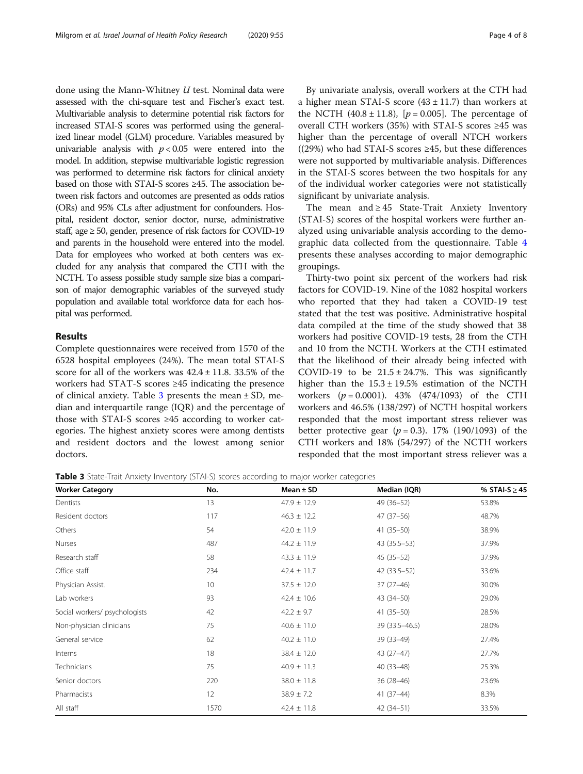done using the Mann-Whitney  $U$  test. Nominal data were assessed with the chi-square test and Fischer's exact test. Multivariable analysis to determine potential risk factors for increased STAI-S scores was performed using the generalized linear model (GLM) procedure. Variables measured by univariable analysis with  $p < 0.05$  were entered into the model. In addition, stepwise multivariable logistic regression was performed to determine risk factors for clinical anxiety based on those with STAI-S scores ≥45. The association between risk factors and outcomes are presented as odds ratios (ORs) and 95% CLs after adjustment for confounders. Hospital, resident doctor, senior doctor, nurse, administrative staff, age ≥ 50, gender, presence of risk factors for COVID-19 and parents in the household were entered into the model. Data for employees who worked at both centers was excluded for any analysis that compared the CTH with the NCTH. To assess possible study sample size bias a comparison of major demographic variables of the surveyed study population and available total workforce data for each hospital was performed.

# Results

Complete questionnaires were received from 1570 of the 6528 hospital employees (24%). The mean total STAI-S score for all of the workers was  $42.4 \pm 11.8$ . 33.5% of the workers had STAT-S scores ≥45 indicating the presence of clinical anxiety. Table  $3$  presents the mean  $\pm$  SD, median and interquartile range (IQR) and the percentage of those with STAI-S scores ≥45 according to worker categories. The highest anxiety scores were among dentists and resident doctors and the lowest among senior doctors.

By univariate analysis, overall workers at the CTH had a higher mean STAI-S score  $(43 \pm 11.7)$  than workers at the NCTH  $(40.8 \pm 11.8)$ ,  $[p = 0.005]$ . The percentage of overall CTH workers (35%) with STAI-S scores ≥45 was higher than the percentage of overall NTCH workers ((29%) who had STAI-S scores  $\geq$ 45, but these differences were not supported by multivariable analysis. Differences in the STAI-S scores between the two hospitals for any of the individual worker categories were not statistically significant by univariate analysis.

The mean and  $\geq 45$  State-Trait Anxiety Inventory (STAI-S) scores of the hospital workers were further analyzed using univariable analysis according to the demographic data collected from the questionnaire. Table [4](#page-4-0) presents these analyses according to major demographic groupings.

Thirty-two point six percent of the workers had risk factors for COVID-19. Nine of the 1082 hospital workers who reported that they had taken a COVID-19 test stated that the test was positive. Administrative hospital data compiled at the time of the study showed that 38 workers had positive COVID-19 tests, 28 from the CTH and 10 from the NCTH. Workers at the CTH estimated that the likelihood of their already being infected with COVID-19 to be  $21.5 \pm 24.7$ %. This was significantly higher than the  $15.3 \pm 19.5\%$  estimation of the NCTH workers  $(p = 0.0001)$ . 43%  $(474/1093)$  of the CTH workers and 46.5% (138/297) of NCTH hospital workers responded that the most important stress reliever was better protective gear  $(p = 0.3)$ . 17% (190/1093) of the CTH workers and 18% (54/297) of the NCTH workers responded that the most important stress reliever was a

**Table 3** State-Trait Anxiety Inventory (STAI-S) scores according to major worker categories

| <b>Worker Category</b>        | No.  | Mean $\pm$ SD   | Median (IQR)     | % STAI-S $\geq$ 45 |
|-------------------------------|------|-----------------|------------------|--------------------|
| Dentists                      | 13   | $47.9 \pm 12.9$ | 49 (36-52)       | 53.8%              |
| Resident doctors              | 117  | $46.3 \pm 12.2$ | $47(37-56)$      | 48.7%              |
| Others                        | 54   | $42.0 \pm 11.9$ | $41(35-50)$      | 38.9%              |
| Nurses                        | 487  | $44.2 \pm 11.9$ | 43 (35.5 - 53)   | 37.9%              |
| Research staff                | 58   | $43.3 \pm 11.9$ | $45(35-52)$      | 37.9%              |
| Office staff                  | 234  | $42.4 \pm 11.7$ | 42 (33.5–52)     | 33.6%              |
| Physician Assist.             | 10   | $37.5 \pm 12.0$ | $37(27-46)$      | 30.0%              |
| Lab workers                   | 93   | $42.4 \pm 10.6$ | 43 (34-50)       | 29.0%              |
| Social workers/ psychologists | 42   | $42.2 \pm 9.7$  | $41(35-50)$      | 28.5%              |
| Non-physician clinicians      | 75   | $40.6 \pm 11.0$ | 39 (33.5 - 46.5) | 28.0%              |
| General service               | 62   | $40.2 \pm 11.0$ | 39 (33-49)       | 27.4%              |
| Interns                       | 18   | $38.4 \pm 12.0$ | $43(27-47)$      | 27.7%              |
| Technicians                   | 75   | $40.9 \pm 11.3$ | 40 (33-48)       | 25.3%              |
| Senior doctors                | 220  | $38.0 \pm 11.8$ | $36(28-46)$      | 23.6%              |
| Pharmacists                   | 12   | $38.9 \pm 7.2$  | $41(37-44)$      | 8.3%               |
| All staff                     | 1570 | $42.4 \pm 11.8$ | $42(34-51)$      | 33.5%              |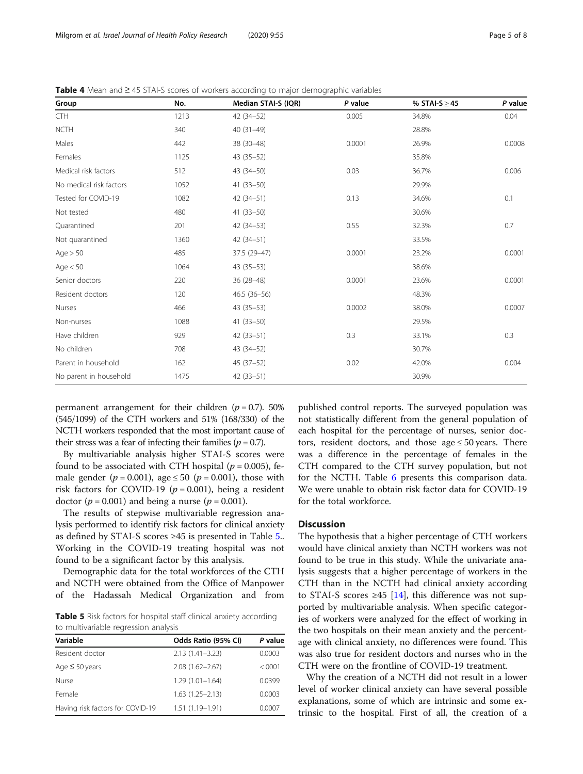| Group                   | No.  | Median STAI-S (IQR) | P value | % STAI-S $\geq$ 45 | P value |
|-------------------------|------|---------------------|---------|--------------------|---------|
| CTH                     | 1213 | $42(34-52)$         | 0.005   | 34.8%              | 0.04    |
| <b>NCTH</b>             | 340  | $40(31-49)$         |         | 28.8%              |         |
| Males                   | 442  | 38 (30-48)          | 0.0001  | 26.9%              | 0.0008  |
| Females                 | 1125 | $43(35-52)$         |         | 35.8%              |         |
| Medical risk factors    | 512  | 43 (34-50)          | 0.03    | 36.7%              | 0.006   |
| No medical risk factors | 1052 | $41(33 - 50)$       |         | 29.9%              |         |
| Tested for COVID-19     | 1082 | $42(34-51)$         | 0.13    | 34.6%              | 0.1     |
| Not tested              | 480  | $41(33 - 50)$       |         | 30.6%              |         |
| Quarantined             | 201  | $42(34-53)$         | 0.55    | 32.3%              | 0.7     |
| Not quarantined         | 1360 | $42(34-51)$         |         | 33.5%              |         |
| Age $> 50$              | 485  | 37.5 (29-47)        | 0.0001  | 23.2%              | 0.0001  |
| Age $< 50$              | 1064 | $43(35-53)$         |         | 38.6%              |         |
| Senior doctors          | 220  | $36(28-48)$         | 0.0001  | 23.6%              | 0.0001  |
| Resident doctors        | 120  | $46.5(36-56)$       |         | 48.3%              |         |
| Nurses                  | 466  | $43(35-53)$         | 0.0002  | 38.0%              | 0.0007  |
| Non-nurses              | 1088 | $41(33 - 50)$       |         | 29.5%              |         |
| Have children           | 929  | $42(33-51)$         | 0.3     | 33.1%              | 0.3     |
| No children             | 708  | 43 (34-52)          |         | 30.7%              |         |
| Parent in household     | 162  | $45(37-52)$         | 0.02    | 42.0%              | 0.004   |
| No parent in household  | 1475 | $42(33-51)$         |         | 30.9%              |         |

<span id="page-4-0"></span>**Table 4** Mean and ≥ 45 STAI-S scores of workers according to major demographic variables

permanent arrangement for their children ( $p = 0.7$ ). 50% (545/1099) of the CTH workers and 51% (168/330) of the NCTH workers responded that the most important cause of their stress was a fear of infecting their families ( $p = 0.7$ ).

By multivariable analysis higher STAI-S scores were found to be associated with CTH hospital ( $p = 0.005$ ), female gender ( $p = 0.001$ ), age  $\le 50$  ( $p = 0.001$ ), those with risk factors for COVID-19 ( $p = 0.001$ ), being a resident doctor ( $p = 0.001$ ) and being a nurse ( $p = 0.001$ ).

The results of stepwise multivariable regression analysis performed to identify risk factors for clinical anxiety as defined by STAI-S scores  $\geq 45$  is presented in Table 5.. Working in the COVID-19 treating hospital was not found to be a significant factor by this analysis.

Demographic data for the total workforces of the CTH and NCTH were obtained from the Office of Manpower of the Hadassah Medical Organization and from

Table 5 Risk factors for hospital staff clinical anxiety according to multivariable regression analysis

| Variable                         | Odds Ratio (95% CI) | P value |
|----------------------------------|---------------------|---------|
| Resident doctor                  | $2.13(1.41 - 3.23)$ | 0.0003  |
| Age $\leq 50$ years              | $2.08(1.62 - 2.67)$ | < .0001 |
| Nurse                            | $1.29(1.01 - 1.64)$ | 0.0399  |
| Female                           | $1.63(1.25 - 2.13)$ | 0.0003  |
| Having risk factors for COVID-19 | 1.51 (1.19-1.91)    | 0.0007  |

published control reports. The surveyed population was not statistically different from the general population of each hospital for the percentage of nurses, senior doctors, resident doctors, and those age  $\leq 50$  years. There was a difference in the percentage of females in the CTH compared to the CTH survey population, but not for the NCTH. Table [6](#page-5-0) presents this comparison data. We were unable to obtain risk factor data for COVID-19 for the total workforce.

# **Discussion**

The hypothesis that a higher percentage of CTH workers would have clinical anxiety than NCTH workers was not found to be true in this study. While the univariate analysis suggests that a higher percentage of workers in the CTH than in the NCTH had clinical anxiety according to STAI-S scores  $\geq 45$  [\[14](#page-7-0)], this difference was not supported by multivariable analysis. When specific categories of workers were analyzed for the effect of working in the two hospitals on their mean anxiety and the percentage with clinical anxiety, no differences were found. This was also true for resident doctors and nurses who in the CTH were on the frontline of COVID-19 treatment.

Why the creation of a NCTH did not result in a lower level of worker clinical anxiety can have several possible explanations, some of which are intrinsic and some extrinsic to the hospital. First of all, the creation of a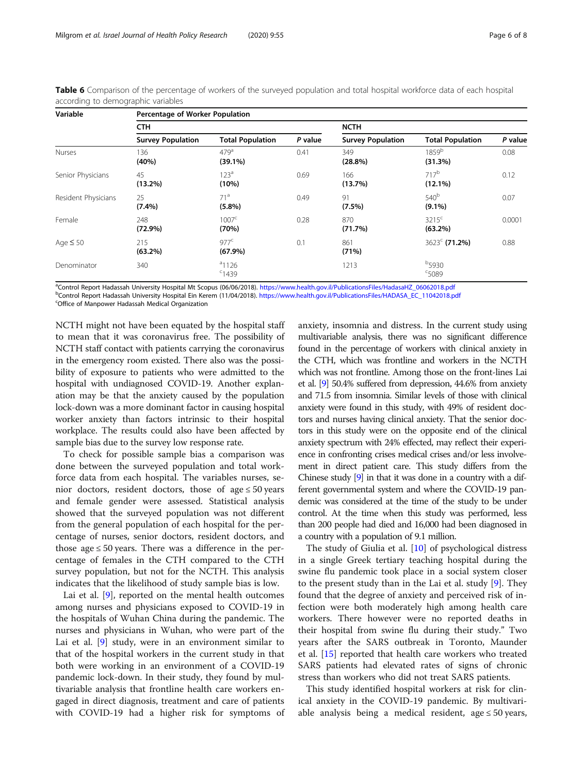| Variable            | Percentage of Worker Population |                                |         |                          |                                 |         |  |  |
|---------------------|---------------------------------|--------------------------------|---------|--------------------------|---------------------------------|---------|--|--|
|                     | <b>CTH</b>                      |                                |         | <b>NCTH</b>              |                                 |         |  |  |
|                     | <b>Survey Population</b>        | <b>Total Population</b>        | P value | <b>Survey Population</b> | <b>Total Population</b>         | P value |  |  |
| <b>Nurses</b>       | 136<br>(40%)                    | 479 <sup>a</sup><br>$(39.1\%)$ | 0.41    | 349<br>$(28.8\%)$        | 1859 <sup>b</sup><br>(31.3%)    | 0.08    |  |  |
| Senior Physicians   | 45<br>$(13.2\%)$                | 123 <sup>a</sup><br>(10%)      | 0.69    | 166<br>(13.7%)           | 717 <sup>b</sup><br>$(12.1\%)$  | 0.12    |  |  |
| Resident Physicians | 25<br>$(7.4\%)$                 | 71 <sup>a</sup><br>(5.8%)      | 0.49    | 91<br>$(7.5\%)$          | 540 <sup>b</sup><br>$(9.1\%)$   | 0.07    |  |  |
| Female              | 248<br>$(72.9\%)$               | 1007 <sup>c</sup><br>(70%)     | 0.28    | 870<br>(71.7%)           | $3215^{\circ}$<br>$(63.2\%)$    | 0.0001  |  |  |
| Age $\leq 50$       | 215<br>$(63.2\%)$               | 977 <sup>c</sup><br>$(67.9\%)$ | 0.1     | 861<br>(71%)             | $3623^{\circ}$ (71.2%)          | 0.88    |  |  |
| Denominator         | 340                             | $a_{1126}$<br>$c$ 1439         |         | 1213                     | $b$ 5930<br>${}^{\text{c}}5089$ |         |  |  |

<span id="page-5-0"></span>Table 6 Comparison of the percentage of workers of the surveyed population and total hospital workforce data of each hospital according to demographic variables

a<br>Control Report Hadassah University Hospital Mt Scopus (06/06/2018). [https://www.health.gov.il/PublicationsFiles/HadasaHZ\\_06062018.pdf](https://www.health.gov.il/PublicationsFiles/HadasaHZ_06062018.pdf)<br>PControl Bonest Hadassah University Hospital Ein Kerem (11/04/2019). https://www.healt <sup>b</sup>Control Report Hadassah University Hospital Ein Kerem (11/04/2018). [https://www.health.gov.il/PublicationsFiles/HADASA\\_EC\\_11042018.pdf](https://www.health.gov.il/PublicationsFiles/HADASA_EC_11042018.pdf)

Office of Manpower Hadassah Medical Organization

NCTH might not have been equated by the hospital staff to mean that it was coronavirus free. The possibility of NCTH staff contact with patients carrying the coronavirus in the emergency room existed. There also was the possibility of exposure to patients who were admitted to the hospital with undiagnosed COVID-19. Another explanation may be that the anxiety caused by the population lock-down was a more dominant factor in causing hospital worker anxiety than factors intrinsic to their hospital workplace. The results could also have been affected by sample bias due to the survey low response rate.

To check for possible sample bias a comparison was done between the surveyed population and total workforce data from each hospital. The variables nurses, senior doctors, resident doctors, those of age  $\leq 50$  years and female gender were assessed. Statistical analysis showed that the surveyed population was not different from the general population of each hospital for the percentage of nurses, senior doctors, resident doctors, and those age  $\leq 50$  years. There was a difference in the percentage of females in the CTH compared to the CTH survey population, but not for the NCTH. This analysis indicates that the likelihood of study sample bias is low.

Lai et al. [[9\]](#page-7-0), reported on the mental health outcomes among nurses and physicians exposed to COVID-19 in the hospitals of Wuhan China during the pandemic. The nurses and physicians in Wuhan, who were part of the Lai et al. [\[9](#page-7-0)] study, were in an environment similar to that of the hospital workers in the current study in that both were working in an environment of a COVID-19 pandemic lock-down. In their study, they found by multivariable analysis that frontline health care workers engaged in direct diagnosis, treatment and care of patients with COVID-19 had a higher risk for symptoms of

anxiety, insomnia and distress. In the current study using multivariable analysis, there was no significant difference found in the percentage of workers with clinical anxiety in the CTH, which was frontline and workers in the NCTH which was not frontline. Among those on the front-lines Lai et al. [[9](#page-7-0)] 50.4% suffered from depression, 44.6% from anxiety and 71.5 from insomnia. Similar levels of those with clinical anxiety were found in this study, with 49% of resident doctors and nurses having clinical anxiety. That the senior doctors in this study were on the opposite end of the clinical anxiety spectrum with 24% effected, may reflect their experience in confronting crises medical crises and/or less involvement in direct patient care. This study differs from the Chinese study [\[9\]](#page-7-0) in that it was done in a country with a different governmental system and where the COVID-19 pandemic was considered at the time of the study to be under control. At the time when this study was performed, less than 200 people had died and 16,000 had been diagnosed in a country with a population of 9.1 million.

The study of Giulia et al. [[10\]](#page-7-0) of psychological distress in a single Greek tertiary teaching hospital during the swine flu pandemic took place in a social system closer to the present study than in the Lai et al. study [[9\]](#page-7-0). They found that the degree of anxiety and perceived risk of infection were both moderately high among health care workers. There however were no reported deaths in their hospital from swine flu during their study." Two years after the SARS outbreak in Toronto, Maunder et al. [\[15](#page-7-0)] reported that health care workers who treated SARS patients had elevated rates of signs of chronic stress than workers who did not treat SARS patients.

This study identified hospital workers at risk for clinical anxiety in the COVID-19 pandemic. By multivariable analysis being a medical resident, age  $\leq 50$  years,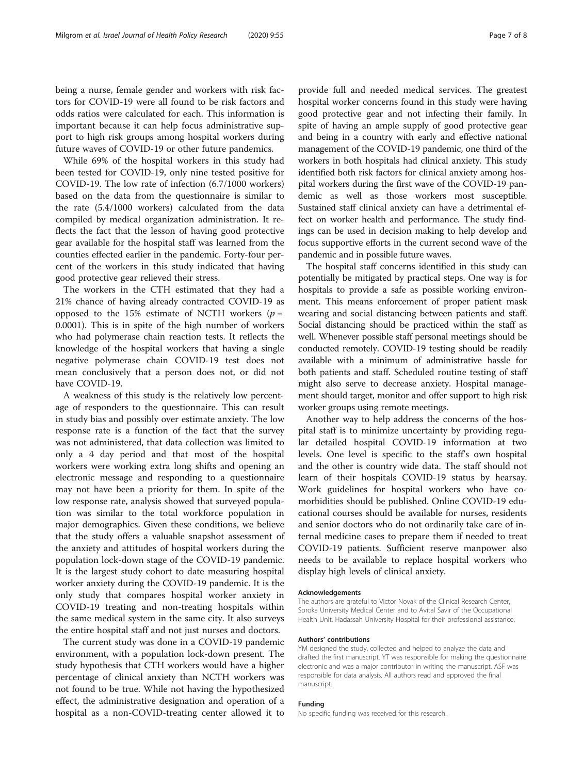being a nurse, female gender and workers with risk factors for COVID-19 were all found to be risk factors and odds ratios were calculated for each. This information is important because it can help focus administrative support to high risk groups among hospital workers during future waves of COVID-19 or other future pandemics.

While 69% of the hospital workers in this study had been tested for COVID-19, only nine tested positive for COVID-19. The low rate of infection (6.7/1000 workers) based on the data from the questionnaire is similar to the rate (5.4/1000 workers) calculated from the data compiled by medical organization administration. It reflects the fact that the lesson of having good protective gear available for the hospital staff was learned from the counties effected earlier in the pandemic. Forty-four percent of the workers in this study indicated that having good protective gear relieved their stress.

The workers in the CTH estimated that they had a 21% chance of having already contracted COVID-19 as opposed to the 15% estimate of NCTH workers ( $p =$ 0.0001). This is in spite of the high number of workers who had polymerase chain reaction tests. It reflects the knowledge of the hospital workers that having a single negative polymerase chain COVID-19 test does not mean conclusively that a person does not, or did not have COVID-19.

A weakness of this study is the relatively low percentage of responders to the questionnaire. This can result in study bias and possibly over estimate anxiety. The low response rate is a function of the fact that the survey was not administered, that data collection was limited to only a 4 day period and that most of the hospital workers were working extra long shifts and opening an electronic message and responding to a questionnaire may not have been a priority for them. In spite of the low response rate, analysis showed that surveyed population was similar to the total workforce population in major demographics. Given these conditions, we believe that the study offers a valuable snapshot assessment of the anxiety and attitudes of hospital workers during the population lock-down stage of the COVID-19 pandemic. It is the largest study cohort to date measuring hospital worker anxiety during the COVID-19 pandemic. It is the only study that compares hospital worker anxiety in COVID-19 treating and non-treating hospitals within the same medical system in the same city. It also surveys the entire hospital staff and not just nurses and doctors.

The current study was done in a COVID-19 pandemic environment, with a population lock-down present. The study hypothesis that CTH workers would have a higher percentage of clinical anxiety than NCTH workers was not found to be true. While not having the hypothesized effect, the administrative designation and operation of a hospital as a non-COVID-treating center allowed it to

provide full and needed medical services. The greatest hospital worker concerns found in this study were having good protective gear and not infecting their family. In spite of having an ample supply of good protective gear and being in a country with early and effective national management of the COVID-19 pandemic, one third of the workers in both hospitals had clinical anxiety. This study identified both risk factors for clinical anxiety among hospital workers during the first wave of the COVID-19 pandemic as well as those workers most susceptible. Sustained staff clinical anxiety can have a detrimental effect on worker health and performance. The study findings can be used in decision making to help develop and focus supportive efforts in the current second wave of the pandemic and in possible future waves.

The hospital staff concerns identified in this study can potentially be mitigated by practical steps. One way is for hospitals to provide a safe as possible working environment. This means enforcement of proper patient mask wearing and social distancing between patients and staff. Social distancing should be practiced within the staff as well. Whenever possible staff personal meetings should be conducted remotely. COVID-19 testing should be readily available with a minimum of administrative hassle for both patients and staff. Scheduled routine testing of staff might also serve to decrease anxiety. Hospital management should target, monitor and offer support to high risk worker groups using remote meetings.

Another way to help address the concerns of the hospital staff is to minimize uncertainty by providing regular detailed hospital COVID-19 information at two levels. One level is specific to the staff's own hospital and the other is country wide data. The staff should not learn of their hospitals COVID-19 status by hearsay. Work guidelines for hospital workers who have comorbidities should be published. Online COVID-19 educational courses should be available for nurses, residents and senior doctors who do not ordinarily take care of internal medicine cases to prepare them if needed to treat COVID-19 patients. Sufficient reserve manpower also needs to be available to replace hospital workers who display high levels of clinical anxiety.

#### Acknowledgements

The authors are grateful to Victor Novak of the Clinical Research Center, Soroka University Medical Center and to Avital Savir of the Occupational Health Unit, Hadassah University Hospital for their professional assistance.

#### Authors' contributions

YM designed the study, collected and helped to analyze the data and drafted the first manuscript. YT was responsible for making the questionnaire electronic and was a major contributor in writing the manuscript. ASF was responsible for data analysis. All authors read and approved the final manuscript.

#### Funding

No specific funding was received for this research.